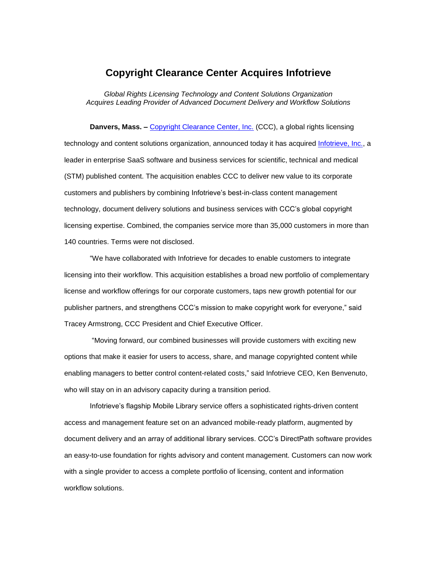## **Copyright Clearance Center Acquires Infotrieve**

*Global Rights Licensing Technology and Content Solutions Organization Acquires Leading Provider of Advanced Document Delivery and Workflow Solutions*

**Danvers, Mass. -** [Copyright Clearance Center, Inc.](http://www.copyright.com/) (CCC), a global rights licensing technology and content solutions organization, announced today it has acquired [Infotrieve, Inc.,](http://www.infotrieve.com/) a leader in enterprise SaaS software and business services for scientific, technical and medical (STM) published content. The acquisition enables CCC to deliver new value to its corporate customers and publishers by combining Infotrieve's best-in-class content management technology, document delivery solutions and business services with CCC's global copyright licensing expertise. Combined, the companies service more than 35,000 customers in more than 140 countries. Terms were not disclosed.

"We have collaborated with Infotrieve for decades to enable customers to integrate licensing into their workflow. This acquisition establishes a broad new portfolio of complementary license and workflow offerings for our corporate customers, taps new growth potential for our publisher partners, and strengthens CCC's mission to make copyright work for everyone," said Tracey Armstrong, CCC President and Chief Executive Officer.

"Moving forward, our combined businesses will provide customers with exciting new options that make it easier for users to access, share, and manage copyrighted content while enabling managers to better control content-related costs," said Infotrieve CEO, Ken Benvenuto, who will stay on in an advisory capacity during a transition period.

Infotrieve's flagship Mobile Library service offers a sophisticated rights-driven content access and management feature set on an advanced mobile-ready platform, augmented by document delivery and an array of additional library services. CCC's DirectPath software provides an easy-to-use foundation for rights advisory and content management. Customers can now work with a single provider to access a complete portfolio of licensing, content and information workflow solutions.